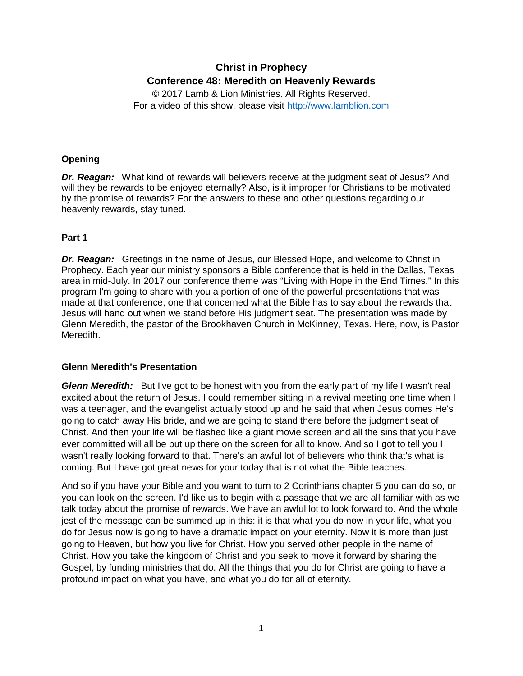# **Christ in Prophecy Conference 48: Meredith on Heavenly Rewards**

© 2017 Lamb & Lion Ministries. All Rights Reserved. For a video of this show, please visit [http://www.lamblion.com](http://www.lamblion.com/)

### **Opening**

*Dr. Reagan:* What kind of rewards will believers receive at the judgment seat of Jesus? And will they be rewards to be enjoyed eternally? Also, is it improper for Christians to be motivated by the promise of rewards? For the answers to these and other questions regarding our heavenly rewards, stay tuned.

## **Part 1**

*Dr. Reagan:* Greetings in the name of Jesus, our Blessed Hope, and welcome to Christ in Prophecy. Each year our ministry sponsors a Bible conference that is held in the Dallas, Texas area in mid-July. In 2017 our conference theme was "Living with Hope in the End Times." In this program I'm going to share with you a portion of one of the powerful presentations that was made at that conference, one that concerned what the Bible has to say about the rewards that Jesus will hand out when we stand before His judgment seat. The presentation was made by Glenn Meredith, the pastor of the Brookhaven Church in McKinney, Texas. Here, now, is Pastor Meredith.

#### **Glenn Meredith's Presentation**

*Glenn Meredith:* But I've got to be honest with you from the early part of my life I wasn't real excited about the return of Jesus. I could remember sitting in a revival meeting one time when I was a teenager, and the evangelist actually stood up and he said that when Jesus comes He's going to catch away His bride, and we are going to stand there before the judgment seat of Christ. And then your life will be flashed like a giant movie screen and all the sins that you have ever committed will all be put up there on the screen for all to know. And so I got to tell you I wasn't really looking forward to that. There's an awful lot of believers who think that's what is coming. But I have got great news for your today that is not what the Bible teaches.

And so if you have your Bible and you want to turn to 2 Corinthians chapter 5 you can do so, or you can look on the screen. I'd like us to begin with a passage that we are all familiar with as we talk today about the promise of rewards. We have an awful lot to look forward to. And the whole jest of the message can be summed up in this: it is that what you do now in your life, what you do for Jesus now is going to have a dramatic impact on your eternity. Now it is more than just going to Heaven, but how you live for Christ. How you served other people in the name of Christ. How you take the kingdom of Christ and you seek to move it forward by sharing the Gospel, by funding ministries that do. All the things that you do for Christ are going to have a profound impact on what you have, and what you do for all of eternity.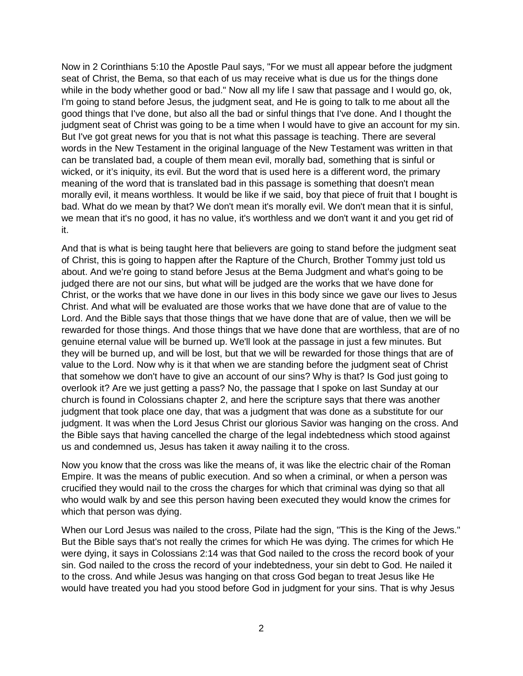Now in 2 Corinthians 5:10 the Apostle Paul says, "For we must all appear before the judgment seat of Christ, the Bema, so that each of us may receive what is due us for the things done while in the body whether good or bad." Now all my life I saw that passage and I would go, ok, I'm going to stand before Jesus, the judgment seat, and He is going to talk to me about all the good things that I've done, but also all the bad or sinful things that I've done. And I thought the judgment seat of Christ was going to be a time when I would have to give an account for my sin. But I've got great news for you that is not what this passage is teaching. There are several words in the New Testament in the original language of the New Testament was written in that can be translated bad, a couple of them mean evil, morally bad, something that is sinful or wicked, or it's iniquity, its evil. But the word that is used here is a different word, the primary meaning of the word that is translated bad in this passage is something that doesn't mean morally evil, it means worthless. It would be like if we said, boy that piece of fruit that I bought is bad. What do we mean by that? We don't mean it's morally evil. We don't mean that it is sinful, we mean that it's no good, it has no value, it's worthless and we don't want it and you get rid of it.

And that is what is being taught here that believers are going to stand before the judgment seat of Christ, this is going to happen after the Rapture of the Church, Brother Tommy just told us about. And we're going to stand before Jesus at the Bema Judgment and what's going to be judged there are not our sins, but what will be judged are the works that we have done for Christ, or the works that we have done in our lives in this body since we gave our lives to Jesus Christ. And what will be evaluated are those works that we have done that are of value to the Lord. And the Bible says that those things that we have done that are of value, then we will be rewarded for those things. And those things that we have done that are worthless, that are of no genuine eternal value will be burned up. We'll look at the passage in just a few minutes. But they will be burned up, and will be lost, but that we will be rewarded for those things that are of value to the Lord. Now why is it that when we are standing before the judgment seat of Christ that somehow we don't have to give an account of our sins? Why is that? Is God just going to overlook it? Are we just getting a pass? No, the passage that I spoke on last Sunday at our church is found in Colossians chapter 2, and here the scripture says that there was another judgment that took place one day, that was a judgment that was done as a substitute for our judgment. It was when the Lord Jesus Christ our glorious Savior was hanging on the cross. And the Bible says that having cancelled the charge of the legal indebtedness which stood against us and condemned us, Jesus has taken it away nailing it to the cross.

Now you know that the cross was like the means of, it was like the electric chair of the Roman Empire. It was the means of public execution. And so when a criminal, or when a person was crucified they would nail to the cross the charges for which that criminal was dying so that all who would walk by and see this person having been executed they would know the crimes for which that person was dying.

When our Lord Jesus was nailed to the cross, Pilate had the sign, "This is the King of the Jews." But the Bible says that's not really the crimes for which He was dying. The crimes for which He were dying, it says in Colossians 2:14 was that God nailed to the cross the record book of your sin. God nailed to the cross the record of your indebtedness, your sin debt to God. He nailed it to the cross. And while Jesus was hanging on that cross God began to treat Jesus like He would have treated you had you stood before God in judgment for your sins. That is why Jesus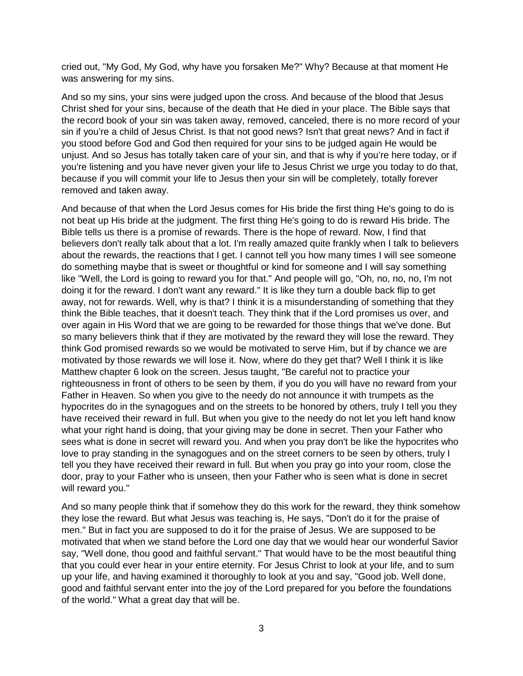cried out, "My God, My God, why have you forsaken Me?" Why? Because at that moment He was answering for my sins.

And so my sins, your sins were judged upon the cross. And because of the blood that Jesus Christ shed for your sins, because of the death that He died in your place. The Bible says that the record book of your sin was taken away, removed, canceled, there is no more record of your sin if you're a child of Jesus Christ. Is that not good news? Isn't that great news? And in fact if you stood before God and God then required for your sins to be judged again He would be unjust. And so Jesus has totally taken care of your sin, and that is why if you're here today, or if you're listening and you have never given your life to Jesus Christ we urge you today to do that, because if you will commit your life to Jesus then your sin will be completely, totally forever removed and taken away.

And because of that when the Lord Jesus comes for His bride the first thing He's going to do is not beat up His bride at the judgment. The first thing He's going to do is reward His bride. The Bible tells us there is a promise of rewards. There is the hope of reward. Now, I find that believers don't really talk about that a lot. I'm really amazed quite frankly when I talk to believers about the rewards, the reactions that I get. I cannot tell you how many times I will see someone do something maybe that is sweet or thoughtful or kind for someone and I will say something like "Well, the Lord is going to reward you for that." And people will go, "Oh, no, no, no, I'm not doing it for the reward. I don't want any reward." It is like they turn a double back flip to get away, not for rewards. Well, why is that? I think it is a misunderstanding of something that they think the Bible teaches, that it doesn't teach. They think that if the Lord promises us over, and over again in His Word that we are going to be rewarded for those things that we've done. But so many believers think that if they are motivated by the reward they will lose the reward. They think God promised rewards so we would be motivated to serve Him, but if by chance we are motivated by those rewards we will lose it. Now, where do they get that? Well I think it is like Matthew chapter 6 look on the screen. Jesus taught, "Be careful not to practice your righteousness in front of others to be seen by them, if you do you will have no reward from your Father in Heaven. So when you give to the needy do not announce it with trumpets as the hypocrites do in the synagogues and on the streets to be honored by others, truly I tell you they have received their reward in full. But when you give to the needy do not let you left hand know what your right hand is doing, that your giving may be done in secret. Then your Father who sees what is done in secret will reward you. And when you pray don't be like the hypocrites who love to pray standing in the synagogues and on the street corners to be seen by others, truly I tell you they have received their reward in full. But when you pray go into your room, close the door, pray to your Father who is unseen, then your Father who is seen what is done in secret will reward you."

And so many people think that if somehow they do this work for the reward, they think somehow they lose the reward. But what Jesus was teaching is, He says, "Don't do it for the praise of men." But in fact you are supposed to do it for the praise of Jesus. We are supposed to be motivated that when we stand before the Lord one day that we would hear our wonderful Savior say, "Well done, thou good and faithful servant." That would have to be the most beautiful thing that you could ever hear in your entire eternity. For Jesus Christ to look at your life, and to sum up your life, and having examined it thoroughly to look at you and say, "Good job. Well done, good and faithful servant enter into the joy of the Lord prepared for you before the foundations of the world." What a great day that will be.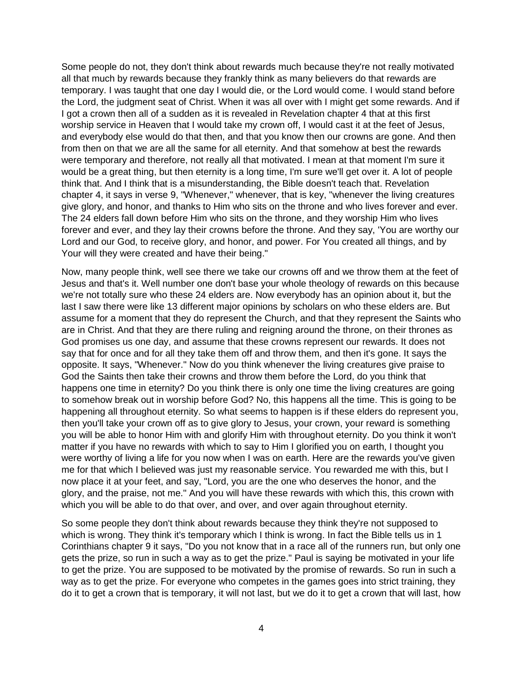Some people do not, they don't think about rewards much because they're not really motivated all that much by rewards because they frankly think as many believers do that rewards are temporary. I was taught that one day I would die, or the Lord would come. I would stand before the Lord, the judgment seat of Christ. When it was all over with I might get some rewards. And if I got a crown then all of a sudden as it is revealed in Revelation chapter 4 that at this first worship service in Heaven that I would take my crown off, I would cast it at the feet of Jesus, and everybody else would do that then, and that you know then our crowns are gone. And then from then on that we are all the same for all eternity. And that somehow at best the rewards were temporary and therefore, not really all that motivated. I mean at that moment I'm sure it would be a great thing, but then eternity is a long time, I'm sure we'll get over it. A lot of people think that. And I think that is a misunderstanding, the Bible doesn't teach that. Revelation chapter 4, it says in verse 9, "Whenever," whenever, that is key, "whenever the living creatures give glory, and honor, and thanks to Him who sits on the throne and who lives forever and ever. The 24 elders fall down before Him who sits on the throne, and they worship Him who lives forever and ever, and they lay their crowns before the throne. And they say, 'You are worthy our Lord and our God, to receive glory, and honor, and power. For You created all things, and by Your will they were created and have their being."

Now, many people think, well see there we take our crowns off and we throw them at the feet of Jesus and that's it. Well number one don't base your whole theology of rewards on this because we're not totally sure who these 24 elders are. Now everybody has an opinion about it, but the last I saw there were like 13 different major opinions by scholars on who these elders are. But assume for a moment that they do represent the Church, and that they represent the Saints who are in Christ. And that they are there ruling and reigning around the throne, on their thrones as God promises us one day, and assume that these crowns represent our rewards. It does not say that for once and for all they take them off and throw them, and then it's gone. It says the opposite. It says, "Whenever." Now do you think whenever the living creatures give praise to God the Saints then take their crowns and throw them before the Lord, do you think that happens one time in eternity? Do you think there is only one time the living creatures are going to somehow break out in worship before God? No, this happens all the time. This is going to be happening all throughout eternity. So what seems to happen is if these elders do represent you, then you'll take your crown off as to give glory to Jesus, your crown, your reward is something you will be able to honor Him with and glorify Him with throughout eternity. Do you think it won't matter if you have no rewards with which to say to Him I glorified you on earth, I thought you were worthy of living a life for you now when I was on earth. Here are the rewards you've given me for that which I believed was just my reasonable service. You rewarded me with this, but I now place it at your feet, and say, "Lord, you are the one who deserves the honor, and the glory, and the praise, not me." And you will have these rewards with which this, this crown with which you will be able to do that over, and over, and over again throughout eternity.

So some people they don't think about rewards because they think they're not supposed to which is wrong. They think it's temporary which I think is wrong. In fact the Bible tells us in 1 Corinthians chapter 9 it says, "Do you not know that in a race all of the runners run, but only one gets the prize, so run in such a way as to get the prize." Paul is saying be motivated in your life to get the prize. You are supposed to be motivated by the promise of rewards. So run in such a way as to get the prize. For everyone who competes in the games goes into strict training, they do it to get a crown that is temporary, it will not last, but we do it to get a crown that will last, how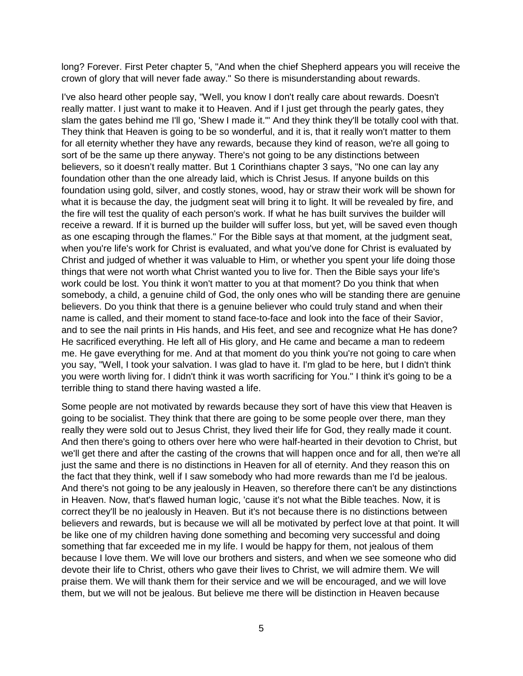long? Forever. First Peter chapter 5, "And when the chief Shepherd appears you will receive the crown of glory that will never fade away." So there is misunderstanding about rewards.

I've also heard other people say, "Well, you know I don't really care about rewards. Doesn't really matter. I just want to make it to Heaven. And if I just get through the pearly gates, they slam the gates behind me I'll go, 'Shew I made it.'" And they think they'll be totally cool with that. They think that Heaven is going to be so wonderful, and it is, that it really won't matter to them for all eternity whether they have any rewards, because they kind of reason, we're all going to sort of be the same up there anyway. There's not going to be any distinctions between believers, so it doesn't really matter. But 1 Corinthians chapter 3 says, "No one can lay any foundation other than the one already laid, which is Christ Jesus. If anyone builds on this foundation using gold, silver, and costly stones, wood, hay or straw their work will be shown for what it is because the day, the judgment seat will bring it to light. It will be revealed by fire, and the fire will test the quality of each person's work. If what he has built survives the builder will receive a reward. If it is burned up the builder will suffer loss, but yet, will be saved even though as one escaping through the flames." For the Bible says at that moment, at the judgment seat, when you're life's work for Christ is evaluated, and what you've done for Christ is evaluated by Christ and judged of whether it was valuable to Him, or whether you spent your life doing those things that were not worth what Christ wanted you to live for. Then the Bible says your life's work could be lost. You think it won't matter to you at that moment? Do you think that when somebody, a child, a genuine child of God, the only ones who will be standing there are genuine believers. Do you think that there is a genuine believer who could truly stand and when their name is called, and their moment to stand face-to-face and look into the face of their Savior, and to see the nail prints in His hands, and His feet, and see and recognize what He has done? He sacrificed everything. He left all of His glory, and He came and became a man to redeem me. He gave everything for me. And at that moment do you think you're not going to care when you say, "Well, I took your salvation. I was glad to have it. I'm glad to be here, but I didn't think you were worth living for. I didn't think it was worth sacrificing for You." I think it's going to be a terrible thing to stand there having wasted a life.

Some people are not motivated by rewards because they sort of have this view that Heaven is going to be socialist. They think that there are going to be some people over there, man they really they were sold out to Jesus Christ, they lived their life for God, they really made it count. And then there's going to others over here who were half-hearted in their devotion to Christ, but we'll get there and after the casting of the crowns that will happen once and for all, then we're all just the same and there is no distinctions in Heaven for all of eternity. And they reason this on the fact that they think, well if I saw somebody who had more rewards than me I'd be jealous. And there's not going to be any jealously in Heaven, so therefore there can't be any distinctions in Heaven. Now, that's flawed human logic, 'cause it's not what the Bible teaches. Now, it is correct they'll be no jealously in Heaven. But it's not because there is no distinctions between believers and rewards, but is because we will all be motivated by perfect love at that point. It will be like one of my children having done something and becoming very successful and doing something that far exceeded me in my life. I would be happy for them, not jealous of them because I love them. We will love our brothers and sisters, and when we see someone who did devote their life to Christ, others who gave their lives to Christ, we will admire them. We will praise them. We will thank them for their service and we will be encouraged, and we will love them, but we will not be jealous. But believe me there will be distinction in Heaven because